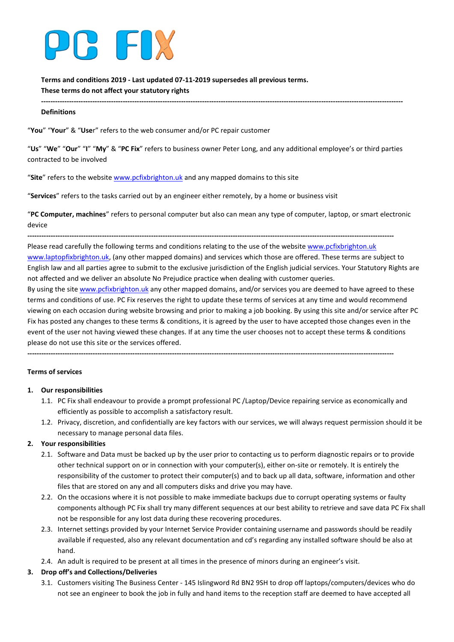

**Terms and conditions 2019 - Last updated 07-11-2019 supersedes all previous terms. These terms do not affect your statutory rights**

#### **Definitions**

"**You**" "**Your**" & "**Use**r" refers to the web consumer and/or PC repair customer

"**Us**" "**We**" "**Our**" "**I**" "**My**" & "**PC Fix**" refers to business owner Peter Long, and any additional employee's or third parties contracted to be involved

**-----------------------------------------------------------------------------------------------------------------------------------------------------------**

"**Site**" refers to the websit[e www.pcfixbrighton.uk](http://www.pcfixbrighton.uk/) and any mapped domains to this site

"**Services**" refers to the tasks carried out by an engineer either remotely, by a home or business visit

"**PC Computer, machines**" refers to personal computer but also can mean any type of computer, laptop, or smart electronic device

**-------------------------------------------------------------------------------------------------------------------------------------------------------------**

Please read carefully the following terms and conditions relating to the use of the websit[e www.pcfixbrighton.uk](http://www.pcfixbrighton.uk/) [www.laptopfixbrighton.uk,](http://www.laptopfixbrighton.uk/) (any other mapped domains) and services which those are offered. These terms are subject to English law and all parties agree to submit to the exclusive jurisdiction of the English judicial services. Your Statutory Rights are not affected and we deliver an absolute No Prejudice practice when dealing with customer queries.

By using the sit[e www.pcfixbrighton.uk](http://www.pcfixbrighton.uk/) any other mapped domains, and/or services you are deemed to have agreed to these terms and conditions of use. PC Fix reserves the right to update these terms of services at any time and would recommend viewing on each occasion during website browsing and prior to making a job booking. By using this site and/or service after PC Fix has posted any changes to these terms & conditions, it is agreed by the user to have accepted those changes even in the event of the user not having viewed these changes. If at any time the user chooses not to accept these terms & conditions please do not use this site or the services offered.

**-------------------------------------------------------------------------------------------------------------------------------------------------------------**

#### **Terms of services**

#### **1. Our responsibilities**

- 1.1. PC Fix shall endeavour to provide a prompt professional PC /Laptop/Device repairing service as economically and efficiently as possible to accomplish a satisfactory result.
- 1.2. Privacy, discretion, and confidentially are key factors with our services, we will always request permission should it be necessary to manage personal data files.

#### **2. Your responsibilities**

- 2.1. Software and Data must be backed up by the user prior to contacting us to perform diagnostic repairs or to provide other technical support on or in connection with your computer(s), either on-site or remotely. It is entirely the responsibility of the customer to protect their computer(s) and to back up all data, software, information and other files that are stored on any and all computers disks and drive you may have.
- 2.2. On the occasions where it is not possible to make immediate backups due to corrupt operating systems or faulty components although PC Fix shall try many different sequences at our best ability to retrieve and save data PC Fix shall not be responsible for any lost data during these recovering procedures.
- 2.3. Internet settings provided by your Internet Service Provider containing username and passwords should be readily available if requested, also any relevant documentation and cd's regarding any installed software should be also at hand.
- 2.4. An adult is required to be present at all times in the presence of minors during an engineer's visit.

#### **3. Drop off's and Collections/Deliveries**

3.1. Customers visiting The Business Center - 145 Islingword Rd BN2 9SH to drop off laptops/computers/devices who do not see an engineer to book the job in fully and hand items to the reception staff are deemed to have accepted all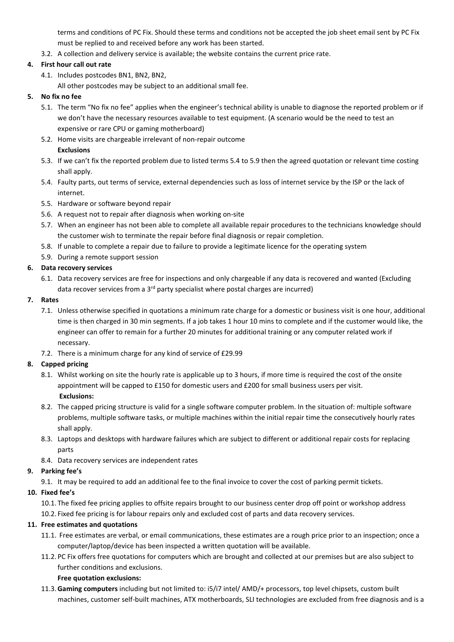terms and conditions of PC Fix. Should these terms and conditions not be accepted the job sheet email sent by PC Fix must be replied to and received before any work has been started.

3.2. A collection and delivery service is available; the website contains the current price rate.

# **4. First hour call out rate**

4.1. Includes postcodes BN1, BN2, BN2,

All other postcodes may be subject to an additional small fee.

# **5. No fix no fee**

- 5.1. The term "No fix no fee" applies when the engineer's technical ability is unable to diagnose the reported problem or if we don't have the necessary resources available to test equipment. (A scenario would be the need to test an expensive or rare CPU or gaming motherboard)
- 5.2. Home visits are chargeable irrelevant of non-repair outcome **Exclusions**
- 5.3. If we can't fix the reported problem due to listed terms 5.4 to 5.9 then the agreed quotation or relevant time costing shall apply.
- 5.4. Faulty parts, out terms of service, external dependencies such as loss of internet service by the ISP or the lack of internet.
- 5.5. Hardware or software beyond repair
- 5.6. A request not to repair after diagnosis when working on-site
- 5.7. When an engineer has not been able to complete all available repair procedures to the technicians knowledge should the customer wish to terminate the repair before final diagnosis or repair completion.
- 5.8. If unable to complete a repair due to failure to provide a legitimate licence for the operating system
- 5.9. During a remote support session

# **6. Data recovery services**

6.1. Data recovery services are free for inspections and only chargeable if any data is recovered and wanted (Excluding data recover services from a 3<sup>rd</sup> party specialist where postal charges are incurred)

# **7. Rates**

- 7.1. Unless otherwise specified in quotations a minimum rate charge for a domestic or business visit is one hour, additional time is then charged in 30 min segments. If a job takes 1 hour 10 mins to complete and if the customer would like, the engineer can offer to remain for a further 20 minutes for additional training or any computer related work if necessary.
- 7.2. There is a minimum charge for any kind of service of £29.99

# **8. Capped pricing**

- 8.1. Whilst working on site the hourly rate is applicable up to 3 hours, if more time is required the cost of the onsite appointment will be capped to £150 for domestic users and £200 for small business users per visit. **Exclusions:**
- 8.2. The capped pricing structure is valid for a single software computer problem. In the situation of: multiple software problems, multiple software tasks, or multiple machines within the initial repair time the consecutively hourly rates shall apply.
- 8.3. Laptops and desktops with hardware failures which are subject to different or additional repair costs for replacing parts
- 8.4. Data recovery services are independent rates

# **9. Parking fee's**

9.1. It may be required to add an additional fee to the final invoice to cover the cost of parking permit tickets.

# **10. Fixed fee's**

10.1. The fixed fee pricing applies to offsite repairs brought to our business center drop off point or workshop address

10.2. Fixed fee pricing is for labour repairs only and excluded cost of parts and data recovery services.

# **11. Free estimates and quotations**

- 11.1. Free estimates are verbal, or email communications, these estimates are a rough price prior to an inspection; once a computer/laptop/device has been inspected a written quotation will be available.
- 11.2. PC Fix offers free quotations for computers which are brought and collected at our premises but are also subject to further conditions and exclusions.

# **Free quotation exclusions:**

11.3.**Gaming computers** including but not limited to: i5/i7 intel/ AMD/+ processors, top level chipsets, custom built machines, customer self-built machines, ATX motherboards, SLI technologies are excluded from free diagnosis and is a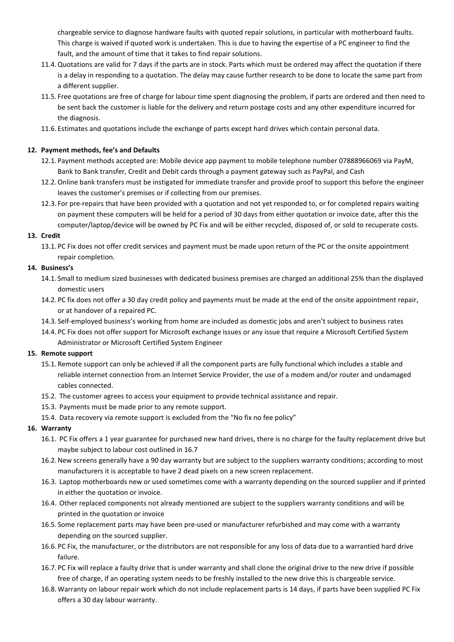chargeable service to diagnose hardware faults with quoted repair solutions, in particular with motherboard faults. This charge is waived if quoted work is undertaken. This is due to having the expertise of a PC engineer to find the fault, and the amount of time that it takes to find repair solutions.

- 11.4.Quotations are valid for 7 days if the parts are in stock. Parts which must be ordered may affect the quotation if there is a delay in responding to a quotation. The delay may cause further research to be done to locate the same part from a different supplier.
- 11.5. Free quotations are free of charge for labour time spent diagnosing the problem, if parts are ordered and then need to be sent back the customer is liable for the delivery and return postage costs and any other expenditure incurred for the diagnosis.
- 11.6. Estimates and quotations include the exchange of parts except hard drives which contain personal data.

# **12. Payment methods, fee's and Defaults**

- 12.1. Payment methods accepted are: Mobile device app payment to mobile telephone number 07888966069 via PayM, Bank to Bank transfer, Credit and Debit cards through a payment gateway such as PayPal, and Cash
- 12.2.Online bank transfers must be instigated for immediate transfer and provide proof to support this before the engineer leaves the customer's premises or if collecting from our premises.
- 12.3. For pre-repairs that have been provided with a quotation and not yet responded to, or for completed repairs waiting on payment these computers will be held for a period of 30 days from either quotation or invoice date, after this the computer/laptop/device will be owned by PC Fix and will be either recycled, disposed of, or sold to recuperate costs.

### **13. Credit**

13.1. PC Fix does not offer credit services and payment must be made upon return of the PC or the onsite appointment repair completion.

### **14. Business's**

- 14.1. Small to medium sized businesses with dedicated business premises are charged an additional 25% than the displayed domestic users
- 14.2. PC fix does not offer a 30 day credit policy and payments must be made at the end of the onsite appointment repair, or at handover of a repaired PC.
- 14.3. Self-employed business's working from home are included as domestic jobs and aren't subject to business rates
- 14.4. PC Fix does not offer support for Microsoft exchange issues or any issue that require a Microsoft Certified System Administrator or Microsoft Certified System Engineer

#### **15. Remote support**

- 15.1. Remote support can only be achieved if all the component parts are fully functional which includes a stable and reliable internet connection from an Internet Service Provider, the use of a modem and/or router and undamaged cables connected.
- 15.2. The customer agrees to access your equipment to provide technical assistance and repair.
- 15.3. Payments must be made prior to any remote support.
- 15.4. Data recovery via remote support is excluded from the "No fix no fee policy"

# **16. Warranty**

- 16.1. PC Fix offers a 1 year guarantee for purchased new hard drives, there is no charge for the faulty replacement drive but maybe subject to labour cost outlined in 16.7
- 16.2.New screens generally have a 90 day warranty but are subject to the suppliers warranty conditions; according to most manufacturers it is acceptable to have 2 dead pixels on a new screen replacement.
- 16.3. Laptop motherboards new or used sometimes come with a warranty depending on the sourced supplier and if printed in either the quotation or invoice.
- 16.4. Other replaced components not already mentioned are subject to the suppliers warranty conditions and will be printed in the quotation or invoice
- 16.5. Some replacement parts may have been pre-used or manufacturer refurbished and may come with a warranty depending on the sourced supplier.
- 16.6. PC Fix, the manufacturer, or the distributors are not responsible for any loss of data due to a warrantied hard drive failure.
- 16.7. PC Fix will replace a faulty drive that is under warranty and shall clone the original drive to the new drive if possible free of charge, if an operating system needs to be freshly installed to the new drive this is chargeable service.
- 16.8.Warranty on labour repair work which do not include replacement parts is 14 days, if parts have been supplied PC Fix offers a 30 day labour warranty.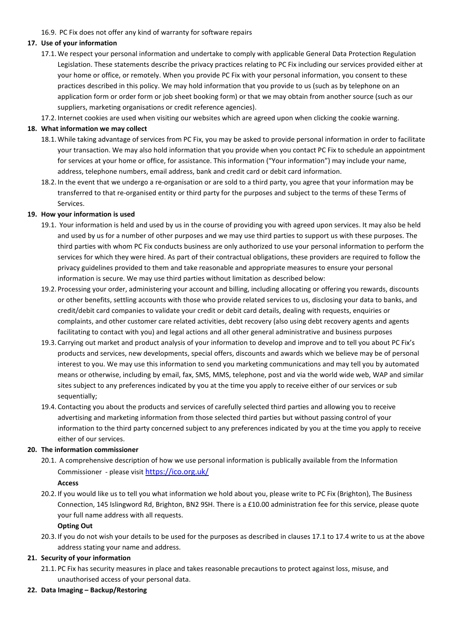16.9. PC Fix does not offer any kind of warranty for software repairs

# **17. Use of your information**

- 17.1.We respect your personal information and undertake to comply with applicable General Data Protection Regulation Legislation. These statements describe the privacy practices relating to PC Fix including our services provided either at your home or office, or remotely. When you provide PC Fix with your personal information, you consent to these practices described in this policy. We may hold information that you provide to us (such as by telephone on an application form or order form or job sheet booking form) or that we may obtain from another source (such as our suppliers, marketing organisations or credit reference agencies).
- 17.2. Internet cookies are used when visiting our websites which are agreed upon when clicking the cookie warning.

## **18. What information we may collect**

- 18.1.While taking advantage of services from PC Fix, you may be asked to provide personal information in order to facilitate your transaction. We may also hold information that you provide when you contact PC Fix to schedule an appointment for services at your home or office, for assistance. This information ("Your information") may include your name, address, telephone numbers, email address, bank and credit card or debit card information.
- 18.2. In the event that we undergo a re-organisation or are sold to a third party, you agree that your information may be transferred to that re-organised entity or third party for the purposes and subject to the terms of these Terms of Services.

### **19. How your information is used**

- 19.1. Your information is held and used by us in the course of providing you with agreed upon services. It may also be held and used by us for a number of other purposes and we may use third parties to support us with these purposes. The third parties with whom PC Fix conducts business are only authorized to use your personal information to perform the services for which they were hired. As part of their contractual obligations, these providers are required to follow the privacy guidelines provided to them and take reasonable and appropriate measures to ensure your personal information is secure. We may use third parties without limitation as described below:
- 19.2. Processing your order, administering your account and billing, including allocating or offering you rewards, discounts or other benefits, settling accounts with those who provide related services to us, disclosing your data to banks, and credit/debit card companies to validate your credit or debit card details, dealing with requests, enquiries or complaints, and other customer care related activities, debt recovery (also using debt recovery agents and agents facilitating to contact with you) and legal actions and all other general administrative and business purposes
- 19.3. Carrying out market and product analysis of your information to develop and improve and to tell you about PC Fix's products and services, new developments, special offers, discounts and awards which we believe may be of personal interest to you. We may use this information to send you marketing communications and may tell you by automated means or otherwise, including by email, fax, SMS, MMS, telephone, post and via the world wide web, WAP and similar sites subject to any preferences indicated by you at the time you apply to receive either of our services or sub sequentially;
- 19.4. Contacting you about the products and services of carefully selected third parties and allowing you to receive advertising and marketing information from those selected third parties but without passing control of your information to the third party concerned subject to any preferences indicated by you at the time you apply to receive either of our services.

#### **20. The information commissioner**

20.1. A comprehensive description of how we use personal information is publically available from the Information Commissioner - please visi[t https://ico.org.uk/](https://ico.org.uk/)

# **Access**

20.2. If you would like us to tell you what information we hold about you, please write to PC Fix (Brighton), The Business Connection, 145 Islingword Rd, Brighton, BN2 9SH. There is a £10.00 administration fee for this service, please quote your full name address with all requests.

#### **Opting Out**

20.3. If you do not wish your details to be used for the purposes as described in clauses 17.1 to 17.4 write to us at the above address stating your name and address.

# **21. Security of your information**

21.1. PC Fix has security measures in place and takes reasonable precautions to protect against loss, misuse, and unauthorised access of your personal data.

#### **22. Data Imaging – Backup/Restoring**